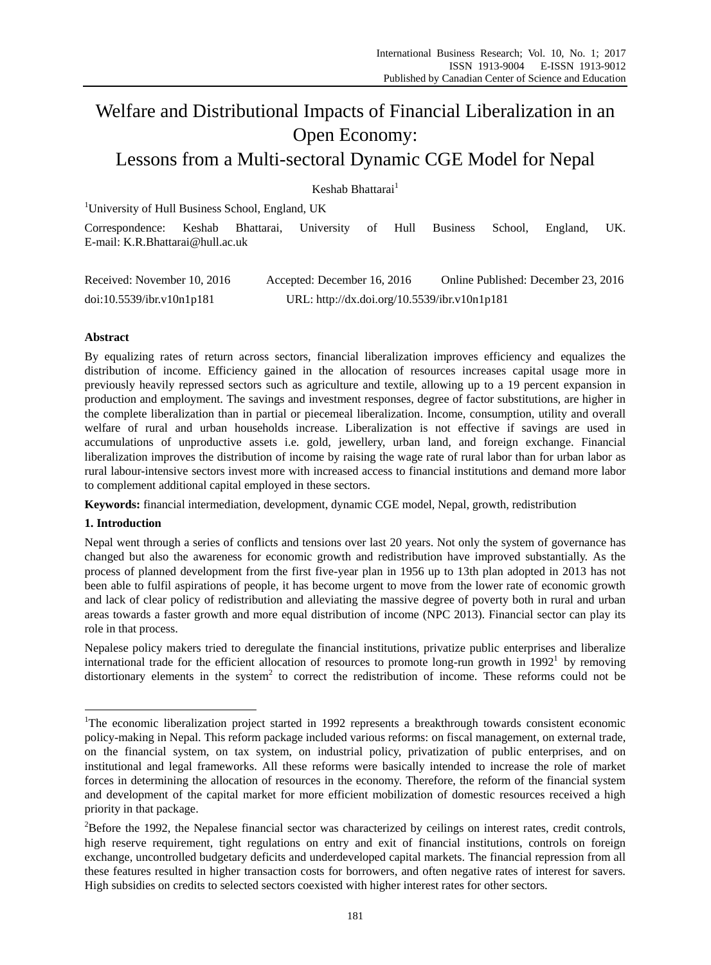# Welfare and Distributional Impacts of Financial Liberalization in an Open Economy:

# Lessons from a Multi-sectoral Dynamic CGE Model for Nepal

### Keshab Bhattarai<sup>1</sup>

<sup>1</sup>University of Hull Business School, England, UK

Correspondence: Keshab Bhattarai, University of Hull Business School, England, UK. E-mail: K.R.Bhattarai@hull.ac.uk

| Received: November 10, 2016 | Accepted: December 16, 2016                  | Online Published: December 23, 2016 |
|-----------------------------|----------------------------------------------|-------------------------------------|
| doi:10.5539/ibr.v10n1p181   | URL: http://dx.doi.org/10.5539/ibr.v10n1p181 |                                     |

#### **Abstract**

By equalizing rates of return across sectors, financial liberalization improves efficiency and equalizes the distribution of income. Efficiency gained in the allocation of resources increases capital usage more in previously heavily repressed sectors such as agriculture and textile, allowing up to a 19 percent expansion in production and employment. The savings and investment responses, degree of factor substitutions, are higher in the complete liberalization than in partial or piecemeal liberalization. Income, consumption, utility and overall welfare of rural and urban households increase. Liberalization is not effective if savings are used in accumulations of unproductive assets i.e. gold, jewellery, urban land, and foreign exchange. Financial liberalization improves the distribution of income by raising the wage rate of rural labor than for urban labor as rural labour-intensive sectors invest more with increased access to financial institutions and demand more labor to complement additional capital employed in these sectors.

**Keywords:** financial intermediation, development, dynamic CGE model, Nepal, growth, redistribution

#### **1. Introduction**

-

Nepal went through a series of conflicts and tensions over last 20 years. Not only the system of governance has changed but also the awareness for economic growth and redistribution have improved substantially. As the process of planned development from the first five-year plan in 1956 up to 13th plan adopted in 2013 has not been able to fulfil aspirations of people, it has become urgent to move from the lower rate of economic growth and lack of clear policy of redistribution and alleviating the massive degree of poverty both in rural and urban areas towards a faster growth and more equal distribution of income (NPC 2013). Financial sector can play its role in that process.

Nepalese policy makers tried to deregulate the financial institutions, privatize public enterprises and liberalize international trade for the efficient allocation of resources to promote long-run growth in  $1992<sup>1</sup>$  by removing distortionary elements in the system<sup>2</sup> to correct the redistribution of income. These reforms could not be

<sup>&</sup>lt;sup>1</sup>The economic liberalization project started in 1992 represents a breakthrough towards consistent economic policy-making in Nepal. This reform package included various reforms: on fiscal management, on external trade, on the financial system, on tax system, on industrial policy, privatization of public enterprises, and on institutional and legal frameworks. All these reforms were basically intended to increase the role of market forces in determining the allocation of resources in the economy. Therefore, the reform of the financial system and development of the capital market for more efficient mobilization of domestic resources received a high priority in that package.

 $2B$ efore the 1992, the Nepalese financial sector was characterized by ceilings on interest rates, credit controls, high reserve requirement, tight regulations on entry and exit of financial institutions, controls on foreign exchange, uncontrolled budgetary deficits and underdeveloped capital markets. The financial repression from all these features resulted in higher transaction costs for borrowers, and often negative rates of interest for savers. High subsidies on credits to selected sectors coexisted with higher interest rates for other sectors.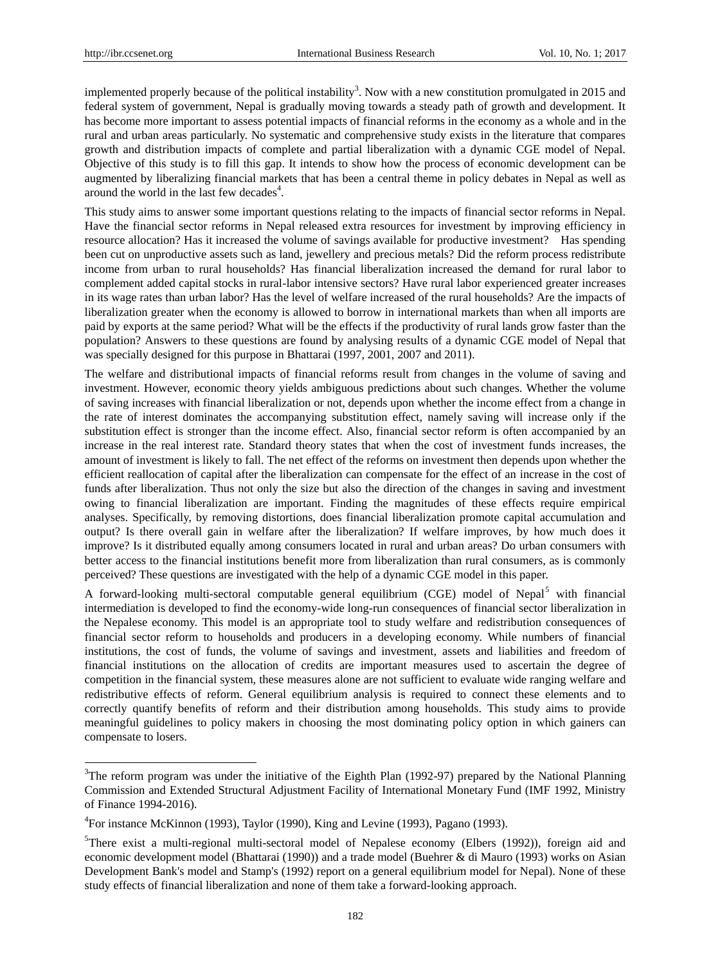-

implemented properly because of the political instability<sup>3</sup>. Now with a new constitution promulgated in 2015 and federal system of government, Nepal is gradually moving towards a steady path of growth and development. It has become more important to assess potential impacts of financial reforms in the economy as a whole and in the rural and urban areas particularly. No systematic and comprehensive study exists in the literature that compares growth and distribution impacts of complete and partial liberalization with a dynamic CGE model of Nepal. Objective of this study is to fill this gap. It intends to show how the process of economic development can be augmented by liberalizing financial markets that has been a central theme in policy debates in Nepal as well as around the world in the last few decades $4$ .

This study aims to answer some important questions relating to the impacts of financial sector reforms in Nepal. Have the financial sector reforms in Nepal released extra resources for investment by improving efficiency in resource allocation? Has it increased the volume of savings available for productive investment? Has spending been cut on unproductive assets such as land, jewellery and precious metals? Did the reform process redistribute income from urban to rural households? Has financial liberalization increased the demand for rural labor to complement added capital stocks in rural-labor intensive sectors? Have rural labor experienced greater increases in its wage rates than urban labor? Has the level of welfare increased of the rural households? Are the impacts of liberalization greater when the economy is allowed to borrow in international markets than when all imports are paid by exports at the same period? What will be the effects if the productivity of rural lands grow faster than the population? Answers to these questions are found by analysing results of a dynamic CGE model of Nepal that was specially designed for this purpose in Bhattarai (1997, 2001, 2007 and 2011).

The welfare and distributional impacts of financial reforms result from changes in the volume of saving and investment. However, economic theory yields ambiguous predictions about such changes. Whether the volume of saving increases with financial liberalization or not, depends upon whether the income effect from a change in the rate of interest dominates the accompanying substitution effect, namely saving will increase only if the substitution effect is stronger than the income effect. Also, financial sector reform is often accompanied by an increase in the real interest rate. Standard theory states that when the cost of investment funds increases, the amount of investment is likely to fall. The net effect of the reforms on investment then depends upon whether the efficient reallocation of capital after the liberalization can compensate for the effect of an increase in the cost of funds after liberalization. Thus not only the size but also the direction of the changes in saving and investment owing to financial liberalization are important. Finding the magnitudes of these effects require empirical analyses. Specifically, by removing distortions, does financial liberalization promote capital accumulation and output? Is there overall gain in welfare after the liberalization? If welfare improves, by how much does it improve? Is it distributed equally among consumers located in rural and urban areas? Do urban consumers with better access to the financial institutions benefit more from liberalization than rural consumers, as is commonly perceived? These questions are investigated with the help of a dynamic CGE model in this paper.

A forward-looking multi-sectoral computable general equilibrium (CGE) model of Nepal<sup>5</sup> with financial intermediation is developed to find the economy-wide long-run consequences of financial sector liberalization in the Nepalese economy. This model is an appropriate tool to study welfare and redistribution consequences of financial sector reform to households and producers in a developing economy. While numbers of financial institutions, the cost of funds, the volume of savings and investment, assets and liabilities and freedom of financial institutions on the allocation of credits are important measures used to ascertain the degree of competition in the financial system, these measures alone are not sufficient to evaluate wide ranging welfare and redistributive effects of reform. General equilibrium analysis is required to connect these elements and to correctly quantify benefits of reform and their distribution among households. This study aims to provide meaningful guidelines to policy makers in choosing the most dominating policy option in which gainers can compensate to losers.

<sup>&</sup>lt;sup>3</sup>The reform program was under the initiative of the Eighth Plan (1992-97) prepared by the National Planning Commission and Extended Structural Adjustment Facility of International Monetary Fund (IMF 1992, Ministry of Finance 1994-2016).

<sup>4</sup> For instance McKinnon (1993), Taylor (1990), King and Levine (1993), Pagano (1993).

<sup>5</sup>There exist a multi-regional multi-sectoral model of Nepalese economy (Elbers (1992)), foreign aid and economic development model (Bhattarai (1990)) and a trade model (Buehrer & di Mauro (1993) works on Asian Development Bank's model and Stamp's (1992) report on a general equilibrium model for Nepal). None of these study effects of financial liberalization and none of them take a forward-looking approach.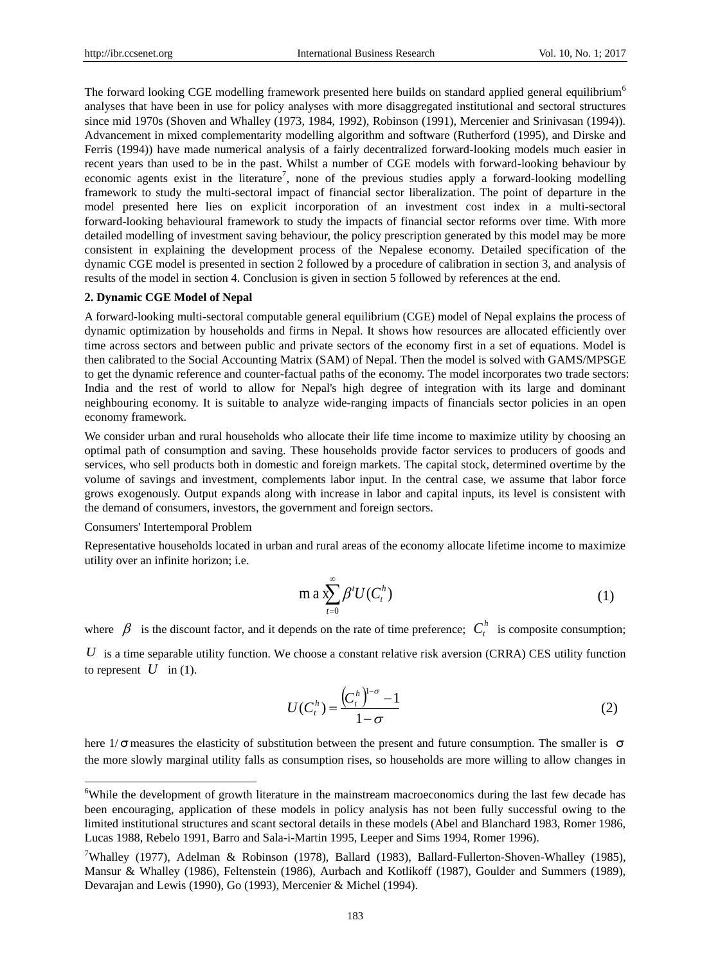The forward looking CGE modelling framework presented here builds on standard applied general equilibrium<sup>6</sup> analyses that have been in use for policy analyses with more disaggregated institutional and sectoral structures since mid 1970s (Shoven and Whalley (1973, 1984, 1992), Robinson (1991), Mercenier and Srinivasan (1994)). Advancement in mixed complementarity modelling algorithm and software (Rutherford (1995), and Dirske and Ferris (1994)) have made numerical analysis of a fairly decentralized forward-looking models much easier in recent years than used to be in the past. Whilst a number of CGE models with forward-looking behaviour by economic agents exist in the literature<sup>7</sup>, none of the previous studies apply a forward-looking modelling framework to study the multi-sectoral impact of financial sector liberalization. The point of departure in the model presented here lies on explicit incorporation of an investment cost index in a multi-sectoral forward-looking behavioural framework to study the impacts of financial sector reforms over time. With more detailed modelling of investment saving behaviour, the policy prescription generated by this model may be more consistent in explaining the development process of the Nepalese economy. Detailed specification of the dynamic CGE model is presented in section 2 followed by a procedure of calibration in section 3, and analysis of results of the model in section 4. Conclusion is given in section 5 followed by references at the end.

#### **2. Dynamic CGE Model of Nepal**

A forward-looking multi-sectoral computable general equilibrium (CGE) model of Nepal explains the process of dynamic optimization by households and firms in Nepal. It shows how resources are allocated efficiently over time across sectors and between public and private sectors of the economy first in a set of equations. Model is then calibrated to the Social Accounting Matrix (SAM) of Nepal. Then the model is solved with GAMS/MPSGE to get the dynamic reference and counter-factual paths of the economy. The model incorporates two trade sectors: India and the rest of world to allow for Nepal's high degree of integration with its large and dominant neighbouring economy. It is suitable to analyze wide-ranging impacts of financials sector policies in an open economy framework.

We consider urban and rural households who allocate their life time income to maximize utility by choosing an optimal path of consumption and saving. These households provide factor services to producers of goods and services, who sell products both in domestic and foreign markets. The capital stock, determined overtime by the volume of savings and investment, complements labor input. In the central case, we assume that labor force grows exogenously. Output expands along with increase in labor and capital inputs, its level is consistent with the demand of consumers, investors, the government and foreign sectors.

#### Consumers' Intertemporal Problem

-

Representative households located in urban and rural areas of the economy allocate lifetime income to maximize utility over an infinite horizon; i.e.

$$
m a x \sum_{t=0}^{\infty} \beta^t U(C_t^h)
$$
 (1)

where  $\beta$  is the discount factor, and it depends on the rate of time preference;  $C_t^h$  is composite consumption; *U* is a time separable utility function. We choose a constant relative risk aversion (CRRA) CES utility function to represent  $U$  in (1).

$$
U(C_t^h) = \frac{(C_t^h)^{1-\sigma} - 1}{1 - \sigma}
$$
 (2)

here  $1/\sigma$  measures the elasticity of substitution between the present and future consumption. The smaller is  $\sigma$ the more slowly marginal utility falls as consumption rises, so households are more willing to allow changes in

<sup>6</sup>While the development of growth literature in the mainstream macroeconomics during the last few decade has been encouraging, application of these models in policy analysis has not been fully successful owing to the limited institutional structures and scant sectoral details in these models (Abel and Blanchard 1983, Romer 1986, Lucas 1988, Rebelo 1991, Barro and Sala-i-Martin 1995, Leeper and Sims 1994, Romer 1996).

<sup>&</sup>lt;sup>7</sup>Whalley (1977), Adelman & Robinson (1978), Ballard (1983), Ballard-Fullerton-Shoven-Whalley (1985), Mansur & Whalley (1986), Feltenstein (1986), Aurbach and Kotlikoff (1987), Goulder and Summers (1989), Devarajan and Lewis (1990), Go (1993), Mercenier & Michel (1994).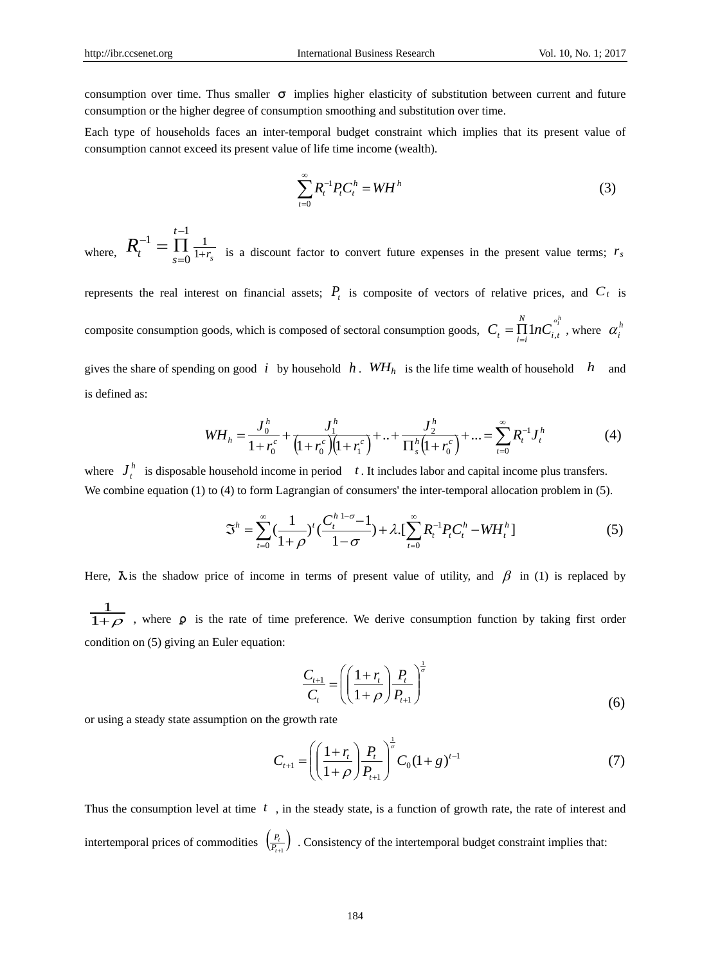consumption over time. Thus smaller  $\sigma$  implies higher elasticity of substitution between current and future consumption or the higher degree of consumption smoothing and substitution over time.

Each type of households faces an inter-temporal budget constraint which implies that its present value of consumption cannot exceed its present value of life time income (wealth).

$$
\sum_{t=0}^{\infty} R_t^{-1} P_t C_t^h = W H^h \tag{3}
$$

where,  $\mathbf{R}_t = \mathbf{I} \mathbf{I}$   $\overline{1 + r_s}$ *t*  $R_t^{-1} = \prod_{s=0} \frac{1}{1+s}$  $t^{-1} = \prod_{s=0}^{t-1} \frac{1}{1+s}$ 0  $1 - \frac{t-1}{\prod}$ is a discount factor to convert future expenses in the present value terms; *r<sup>s</sup>*

represents the real interest on financial assets;  $P_t$  is composite of vectors of relative prices, and  $C_t$  is composite consumption goods, which is composed of sectoral consumption goods,  $C_t = \prod_{i=1}^{N} ln C_{i,t}^{a_i^k}$  $\sum_{i=i}^{I}$  $C_t = \prod_{i=i}^{N} lnC_{i,t}^{a_i^h}$ , where  $\alpha_i^h$ 

gives the share of spending on good *i* by household  $h$ .  $WH_h$  is the life time wealth of household  $h$  and is defined as:

$$
WH_h = \frac{J_0^h}{1 + r_0^c} + \frac{J_1^h}{\left(1 + r_0^c\right)\left(1 + r_1^c\right)} + \dots + \frac{J_2^h}{\prod_s^h \left(1 + r_0^c\right)} + \dots = \sum_{t=0}^{\infty} R_t^{-1} J_t^h \tag{4}
$$

where  $J_t^h$  $J_t^h$  is disposable household income in period  $t$ . It includes labor and capital income plus transfers. We combine equation (1) to (4) to form Lagrangian of consumers' the inter-temporal allocation problem in (5).

$$
\mathfrak{S}^h = \sum_{t=0}^{\infty} \left( \frac{1}{1+\rho} \right)^t \left( \frac{C_t^{h1-\sigma} - 1}{1-\sigma} \right) + \lambda \left[ \sum_{t=0}^{\infty} R_t^{-1} P_t C_t^h - W H_t^h \right] \tag{5}
$$

Here,  $\lambda$  is the shadow price of income in terms of present value of utility, and  $\beta$  in (1) is replaced by  $\frac{1}{1+\rho}$ 1 , where  $\rho$  is the rate of time preference. We derive consumption function by taking first order condition on (5) giving an Euler equation:

$$
\frac{C_{t+1}}{C_t} = \left( \left( \frac{1+r_t}{1+\rho} \right) \frac{P_t}{P_{t+1}} \right)^{\frac{1}{\sigma}}
$$
\n(6)

or using a steady state assumption on the growth rate

$$
C_{t+1} = \left( \left( \frac{1+r_t}{1+\rho} \right) \frac{P_t}{P_{t+1}} \right)^{\frac{1}{\sigma}} C_0 (1+g)^{t-1}
$$
 (7)

Thus the consumption level at time  $t$ , in the steady state, is a function of growth rate, the rate of interest and intertemporal prices of commodities  $\left(\frac{P_t}{P_{t+1}}\right)$  $\frac{r_t}{P_{t+1}}$  $\left(\frac{P_t}{P}\right)$ . Consistency of the intertemporal budget constraint implies that: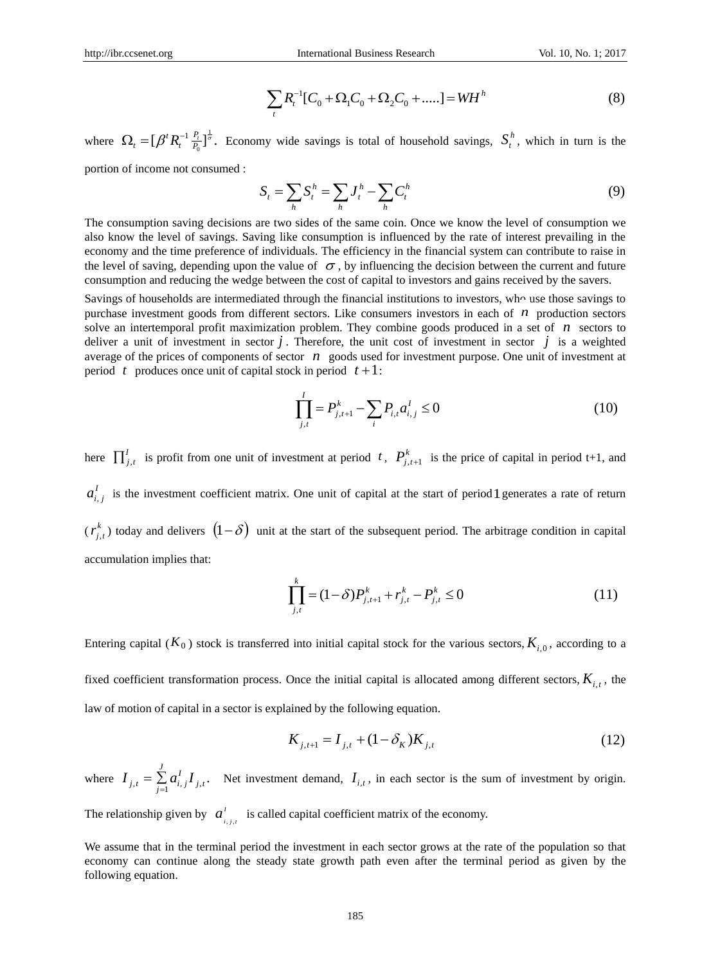$$
\sum_{t} R_{t}^{-1} [C_{0} + \Omega_{1} C_{0} + \Omega_{2} C_{0} + \dots] = W H^{h}
$$
\n(8)

where  $\Omega_{t} = [\beta^{t} R_{t}^{-1} \frac{P_{t}}{P_{s}}]^{\frac{1}{\sigma}}$ .  $\beta^t R_t^{-1} \frac{P_t}{P_0}$ ]<sup> $\frac{1}{\sigma}$ </sup> *t t*  $\Omega_t = [\beta^t R_t^{-1} \frac{P_t}{P_0}]^{\frac{1}{\sigma}}$ . Economy wide savings is total of household savings,  $S_t^h$ , which in turn is the portion of income not consumed :

$$
S_t = \sum_h S_t^h = \sum_h J_t^h - \sum_h C_t^h
$$
\n(9)

The consumption saving decisions are two sides of the same coin. Once we know the level of consumption we also know the level of savings. Saving like consumption is influenced by the rate of interest prevailing in the economy and the time preference of individuals. The efficiency in the financial system can contribute to raise in the level of saving, depending upon the value of  $\sigma$ , by influencing the decision between the current and future consumption and reducing the wedge between the cost of capital to investors and gains received by the savers.

Savings of households are intermediated through the financial institutions to investors, who use those savings to purchase investment goods from different sectors. Like consumers investors in each of  $n$  production sectors solve an intertemporal profit maximization problem. They combine goods produced in a set of *n* sectors to deliver a unit of investment in sector  $j$ . Therefore, the unit cost of investment in sector  $j$  is a weighted average of the prices of components of sector  $n$  goods used for investment purpose. One unit of investment at period  $t$  produces once unit of capital stock in period  $t+1$ :

$$
\prod_{j,t}^{I} = P_{j,t+1}^{k} - \sum_{i} P_{i,t} a_{i,j}^{I} \le 0
$$
\n(10)

here  $\prod_{j,t}^{I}$  is profit from one unit of investment at period t,  $P_{j,t+1}^{k}$  is the price of capital in period t+1, and  $a_{i,j}^I$  is the investment coefficient matrix. One unit of capital at the start of period 1 generates a rate of return  $(r_i^k)$  $r_{j,t}^k$ ) today and delivers  $(1-\delta)$  unit at the start of the subsequent period. The arbitrage condition in capital accumulation implies that:

$$
\prod_{j,t}^{k} = (1 - \delta)P_{j,t+1}^{k} + r_{j,t}^{k} - P_{j,t}^{k} \le 0
$$
\n(11)

Entering capital ( $K_0$ ) stock is transferred into initial capital stock for the various sectors,  $K_{i,0}$ , according to a fixed coefficient transformation process. Once the initial capital is allocated among different sectors,  $K_{i,t}$ , the law of motion of capital in a sector is explained by the following equation.

$$
K_{j,t+1} = I_{j,t} + (1 - \delta_K)K_{j,t}
$$
\n(12)

where  $I_{j,t} = \sum_{j=1}^{t} a_{i,j}^{I} I_{j,t}$ . *I i j J*  $I_{j,t} = \sum_{j=1}^{t} a_{i,j}^I I_{j,t}$ . Net investment demand,  $I_{i,t}$ , in each sector is the sum of investment by origin.

The relationship given by  $a^1$  $a'_{i,j,t}$  is called capital coefficient matrix of the economy.

We assume that in the terminal period the investment in each sector grows at the rate of the population so that economy can continue along the steady state growth path even after the terminal period as given by the following equation.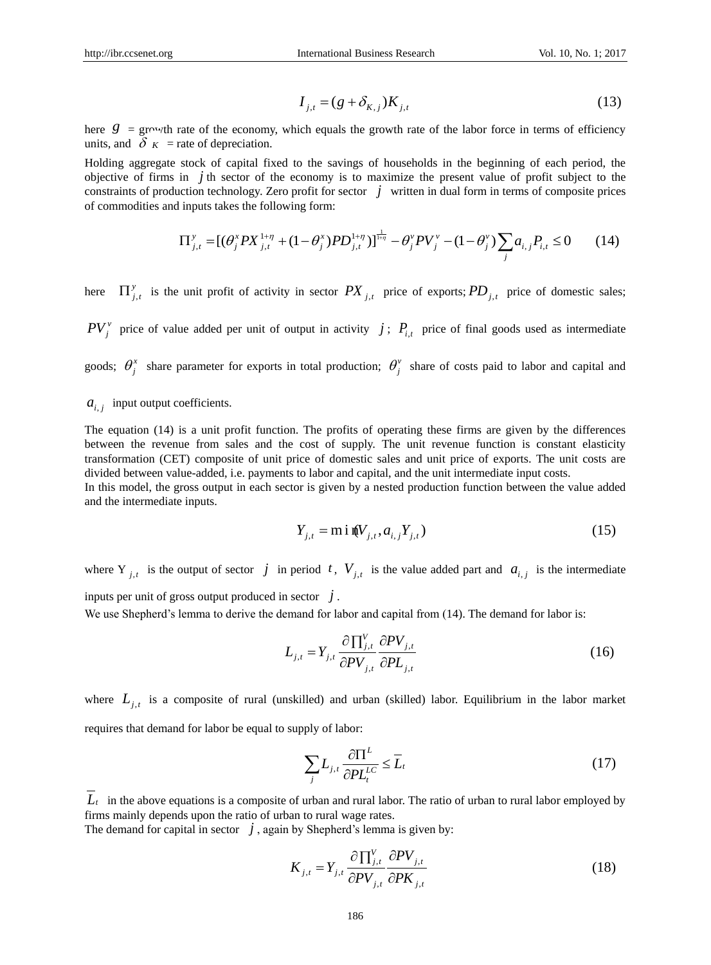$$
I_{j,t} = (g + \delta_{K,j})K_{j,t}
$$
 (13)

here  $g = \frac{g}{g}$  rowth rate of the economy, which equals the growth rate of the labor force in terms of efficiency units, and  $\delta K$  = rate of depreciation.

Holding aggregate stock of capital fixed to the savings of households in the beginning of each period, the objective of firms in  $j$  th sector of the economy is to maximize the present value of profit subject to the constraints of production technology. Zero profit for sector  $j$  written in dual form in terms of composite prices of commodities and inputs takes the following form:

$$
\Pi_{j,t}^{y} = [(\theta_j^{x} P X_{j,t}^{1+\eta} + (1-\theta_j^{x}) P D_{j,t}^{1+\eta})]^{\frac{1}{1+\eta}} - \theta_j^{y} P V_j^{y} - (1-\theta_j^{y}) \sum_j a_{i,j} P_{i,t} \le 0 \tag{14}
$$

here  $\prod_{j,t}^{y}$  is the unit profit of activity in sector  $PX_{j,t}$  price of exports;  $PD_{j,t}$  price of domestic sales;

 $PV_j^v$  price of value added per unit of output in activity  $j$ ;  $P_{i,t}$  price of final goods used as intermediate

goods;  $\theta_j^x$  share parameter for exports in total production;  $\theta_j^y$  share of costs paid to labor and capital and

## $a_{i,j}$  input output coefficients.

The equation (14) is a unit profit function. The profits of operating these firms are given by the differences between the revenue from sales and the cost of supply. The unit revenue function is constant elasticity transformation (CET) composite of unit price of domestic sales and unit price of exports. The unit costs are divided between value-added, i.e. payments to labor and capital, and the unit intermediate input costs.

In this model, the gross output in each sector is given by a nested production function between the value added and the intermediate inputs.

$$
Y_{j,t} = \min W_{j,t}, a_{i,j} Y_{j,t})
$$
\n(15)

where Y  $_{j,t}$  is the output of sector  $j$  in period  $t$ ,  $V_{j,t}$  is the value added part and  $a_{i,j}$  is the intermediate inputs per unit of gross output produced in sector *j* .

We use Shepherd's lemma to derive the demand for labor and capital from (14). The demand for labor is:

$$
L_{j,t} = Y_{j,t} \frac{\partial \prod_{j,t}^{V} \partial PV_{j,t}}{\partial PV_{j,t}} \frac{\partial PV_{j,t}}{\partial PL_{j,t}}
$$
(16)

where  $L_{j,t}$  is a composite of rural (unskilled) and urban (skilled) labor. Equilibrium in the labor market requires that demand for labor be equal to supply of labor:

$$
\sum_{j} L_{j,t} \frac{\partial \Pi^{L}}{\partial PL_{t}^{LC}} \le \overline{L}_{t}
$$
\n(17)

 $L_t$  in the above equations is a composite of urban and rural labor. The ratio of urban to rural labor employed by firms mainly depends upon the ratio of urban to rural wage rates.

The demand for capital in sector  $j$ , again by Shepherd's lemma is given by:

$$
K_{j,t} = Y_{j,t} \frac{\partial \prod_{j,t}^{V} \partial PV_{j,t}}{\partial PV_{j,t}} \frac{\partial PV_{j,t}}{\partial PK_{j,t}}
$$
(18)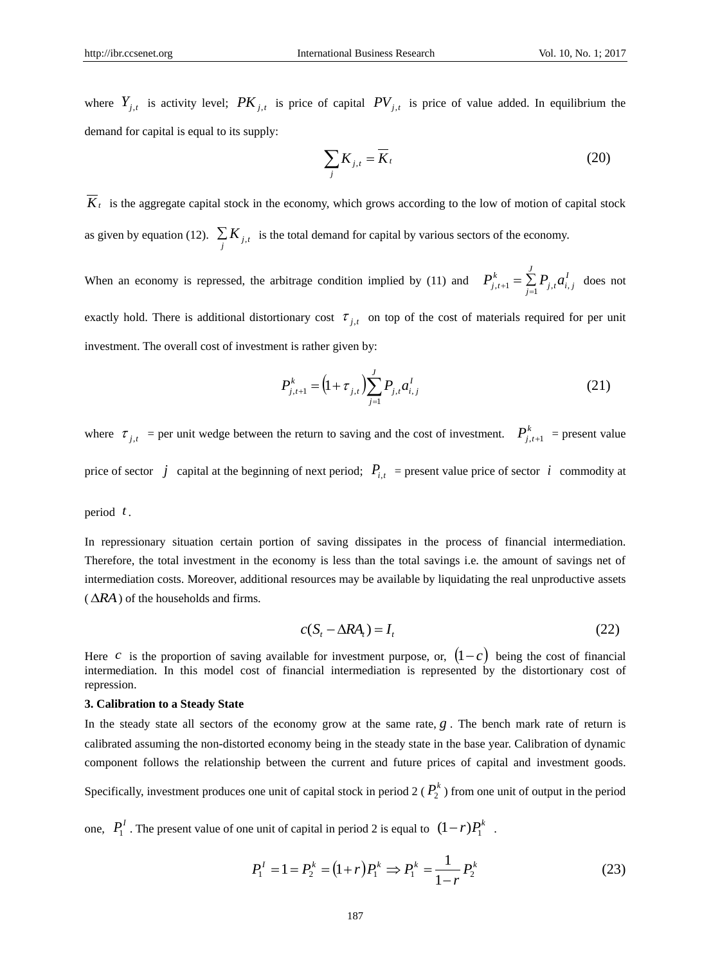where  $Y_{j,t}$  is activity level;  $PK_{j,t}$  is price of capital  $PV_{j,t}$  is price of value added. In equilibrium the demand for capital is equal to its supply:

$$
\sum_{j} K_{j,t} = \overline{K}_{t}
$$
 (20)

 $K_t$  is the aggregate capital stock in the economy, which grows according to the low of motion of capital stock as given by equation (12).  $\sum_{j} K_{j,t}$  is the total demand for capital by various sectors of the economy.

When an economy is repressed, the arbitrage condition implied by (11) and  $P_{i,t+1}^k = \sum P_{i,t} a_i^k$  $j$ ,  $i$ <sup> $\mathbf{u}_{i,j}$ </sup> *J*  $P_{j,t+1}^k = \sum_{j=1}^k P_{j,t} a_{i,j}^l$  does not exactly hold. There is additional distortionary cost  $\tau_{j,t}$  on top of the cost of materials required for per unit investment. The overall cost of investment is rather given by:

$$
P_{j,t+1}^{k} = \left(1 + \tau_{j,t}\right) \sum_{j=1}^{J} P_{j,t} a_{i,j}^{I}
$$
 (21)

where  $\tau_{j,t}$  = per unit wedge between the return to saving and the cost of investment.  $P^k_{j,t+1}$  = present value price of sector  $j$  capital at the beginning of next period;  $P_{i,t}$  = present value price of sector  $i$  commodity at period *t* .

In repressionary situation certain portion of saving dissipates in the process of financial intermediation. Therefore, the total investment in the economy is less than the total savings i.e. the amount of savings net of intermediation costs. Moreover, additional resources may be available by liquidating the real unproductive assets  $( \Delta RA)$  of the households and firms.

$$
c(S_t - \Delta R A_t) = I_t \tag{22}
$$

Here c is the proportion of saving available for investment purpose, or,  $(1-c)$  being the cost of financial intermediation. In this model cost of financial intermediation is represented by the distortionary cost of repression.

#### **3. Calibration to a Steady State**

In the steady state all sectors of the economy grow at the same rate, *g* . The bench mark rate of return is calibrated assuming the non-distorted economy being in the steady state in the base year. Calibration of dynamic component follows the relationship between the current and future prices of capital and investment goods.

Specifically, investment produces one unit of capital stock in period  $2$  ( $P_2^k$ ) from one unit of output in the period

one,  $P_1^I$ . The present value of one unit of capital in period 2 is equal to  $(1-r)P_1^k$ .

$$
P_1^I = 1 = P_2^k = (1+r)P_1^k \implies P_1^k = \frac{1}{1-r}P_2^k \tag{23}
$$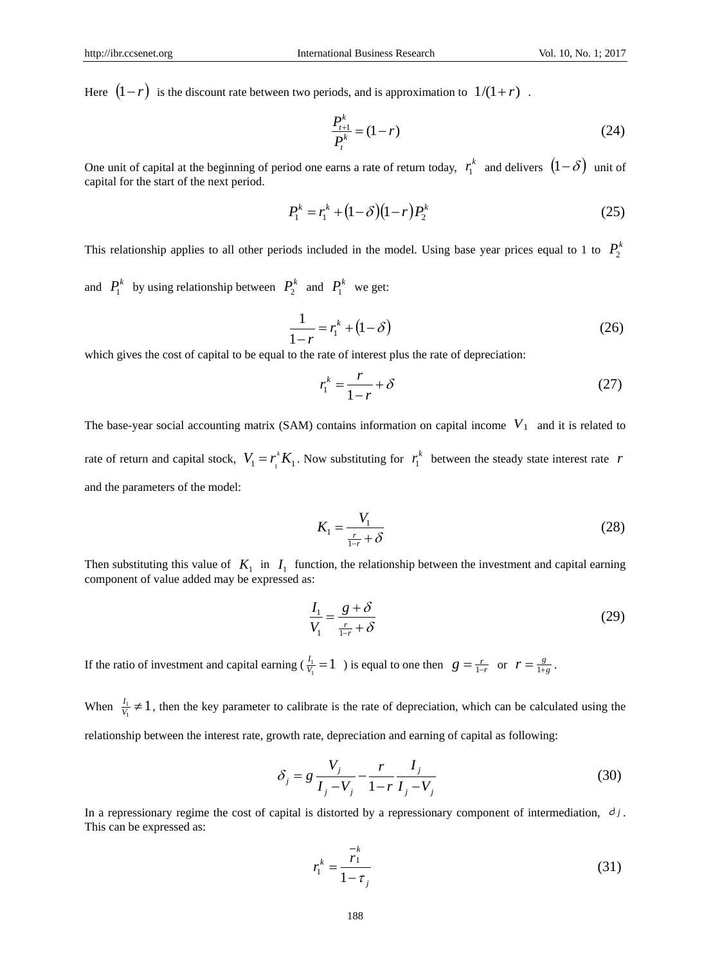Here  $(1-r)$  is the discount rate between two periods, and is approximation to  $1/(1+r)$ .

$$
\frac{P_{t+1}^k}{P_t^k} = (1-r)
$$
\n(24)

One unit of capital at the beginning of period one earns a rate of return today,  $r_1^k$  and delivers  $(1-\delta)$  unit of capital for the start of the next period.

$$
P_1^k = r_1^k + (1 - \delta)(1 - r)P_2^k \tag{25}
$$

This relationship applies to all other periods included in the model. Using base year prices equal to 1 to  $P_2^k$ 

and  $P_1^k$  by using relationship between  $P_2^k$  and  $P_1^k$  we get:

$$
\frac{1}{1-r} = r_1^k + (1 - \delta) \tag{26}
$$

which gives the cost of capital to be equal to the rate of interest plus the rate of depreciation:

$$
r_1^k = \frac{r}{1-r} + \delta \tag{27}
$$

The base-year social accounting matrix (SAM) contains information on capital income  $V_1$  and it is related to rate of return and capital stock,  $V_1 = r_1^k K_1$ . Now substituting for  $r_1^k$  between the steady state interest rate r and the parameters of the model:

$$
K_1 = \frac{V_1}{\frac{r}{1-r} + \delta} \tag{28}
$$

Then substituting this value of  $K_1$  in  $I_1$  function, the relationship between the investment and capital earning component of value added may be expressed as:

$$
\frac{I_1}{V_1} = \frac{g + \delta}{\frac{r}{1 - r} + \delta} \tag{29}
$$

If the ratio of investment and capital earning ( $\frac{I_1}{V_1} = 1$ )  $\frac{I_1}{V_1}$  = 1 ) is equal to one then  $g = \frac{r}{1-r}$  or  $r = \frac{g}{1+g}$  $r=\frac{g}{1+g}$ .

When  $\frac{I_1}{V_1} \neq 1$ , then the key parameter to calibrate is the rate of depreciation, which can be calculated using the relationship between the interest rate, growth rate, depreciation and earning of capital as following:

$$
\delta_j = g \frac{V_j}{I_j - V_j} - \frac{r}{1 - r} \frac{I_j}{I_j - V_j}
$$
(30)

In a repressionary regime the cost of capital is distorted by a repressionary component of intermediation,  $dj$ . This can be expressed as:

$$
r_1^k = \frac{\bar{r}_1^k}{1 - \tau_j}
$$
 (31)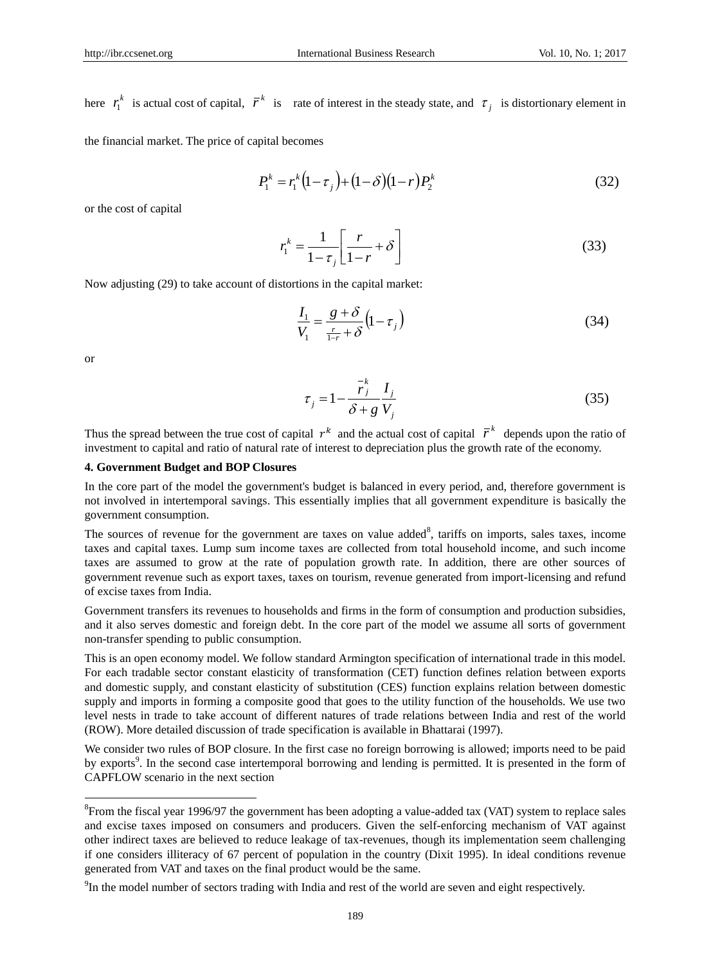here  $r_1^k$  is actual cost of capital,  $\bar{r}^k$  is rate of interest in the steady state, and  $\tau_j$  is distortionary element in

the financial market. The price of capital becomes

$$
P_1^k = r_1^k (1 - \tau_j) + (1 - \delta)(1 - r) P_2^k \tag{32}
$$

or the cost of capital

$$
r_1^k = \frac{1}{1 - \tau_j} \left[ \frac{r}{1 - r} + \delta \right] \tag{33}
$$

Now adjusting (29) to take account of distortions in the capital market:

$$
\frac{I_1}{V_1} = \frac{g + \delta}{\frac{r}{1 - r} + \delta} \left( 1 - \tau_j \right) \tag{34}
$$

or

-

$$
\tau_j = 1 - \frac{\overline{r}_j}{\delta + g} \frac{I_j}{V_j} \tag{35}
$$

Thus the spread between the true cost of capital  $r^k$  and the actual cost of capital  $\bar{r}^k$  depends upon the ratio of investment to capital and ratio of natural rate of interest to depreciation plus the growth rate of the economy.

#### **4. Government Budget and BOP Closures**

In the core part of the model the government's budget is balanced in every period, and, therefore government is not involved in intertemporal savings. This essentially implies that all government expenditure is basically the government consumption.

The sources of revenue for the government are taxes on value added $\delta$ , tariffs on imports, sales taxes, income taxes and capital taxes. Lump sum income taxes are collected from total household income, and such income taxes are assumed to grow at the rate of population growth rate. In addition, there are other sources of government revenue such as export taxes, taxes on tourism, revenue generated from import-licensing and refund of excise taxes from India.

Government transfers its revenues to households and firms in the form of consumption and production subsidies, and it also serves domestic and foreign debt. In the core part of the model we assume all sorts of government non-transfer spending to public consumption.

This is an open economy model. We follow standard Armington specification of international trade in this model. For each tradable sector constant elasticity of transformation (CET) function defines relation between exports and domestic supply, and constant elasticity of substitution (CES) function explains relation between domestic supply and imports in forming a composite good that goes to the utility function of the households. We use two level nests in trade to take account of different natures of trade relations between India and rest of the world (ROW). More detailed discussion of trade specification is available in Bhattarai (1997).

We consider two rules of BOP closure. In the first case no foreign borrowing is allowed; imports need to be paid by exports<sup>9</sup>. In the second case intertemporal borrowing and lending is permitted. It is presented in the form of CAPFLOW scenario in the next section

<sup>&</sup>lt;sup>8</sup>From the fiscal year 1996/97 the government has been adopting a value-added tax (VAT) system to replace sales and excise taxes imposed on consumers and producers. Given the self-enforcing mechanism of VAT against other indirect taxes are believed to reduce leakage of tax-revenues, though its implementation seem challenging if one considers illiteracy of 67 percent of population in the country (Dixit 1995). In ideal conditions revenue generated from VAT and taxes on the final product would be the same.

<sup>&</sup>lt;sup>9</sup>In the model number of sectors trading with India and rest of the world are seven and eight respectively.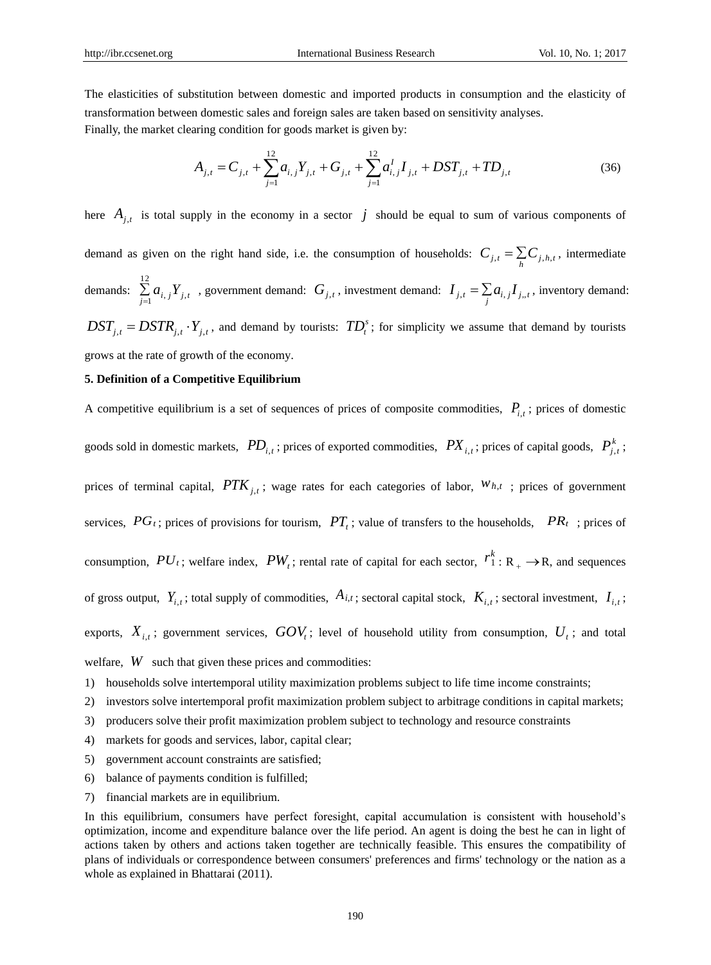The elasticities of substitution between domestic and imported products in consumption and the elasticity of transformation between domestic sales and foreign sales are taken based on sensitivity analyses. Finally, the market clearing condition for goods market is given by:

$$
A_{j,t} = C_{j,t} + \sum_{j=1}^{12} a_{i,j} Y_{j,t} + G_{j,t} + \sum_{j=1}^{12} a_{i,j}^I I_{j,t} + DST_{j,t} + TD_{j,t}
$$
 (36)

here  $A_{j,t}$  is total supply in the economy in a sector  $j$  should be equal to sum of various components of demand as given on the right hand side, i.e. the consumption of households:  $C_{j,t} = \sum_{h} C_{j,h,t}$ , intermediate demands:  $\sum_{j=1}^{12} a_{i,j} Y_{j,t}$  $\sum_{j=1}^{n} a_{i,j} Y_{j,t}$ , government demand:  $G_{j,t}$ , investment demand:  $I_{j,t} = \sum_{j} a_{i,j} I_{j,t}$ , inventory demand:  $DST_{j,t} = DSTR_{j,t} \cdot Y_{j,t}$ , and demand by tourists:  $TD_t^s$ ; for simplicity we assume that demand by tourists grows at the rate of growth of the economy.

#### **5. Definition of a Competitive Equilibrium**

A competitive equilibrium is a set of sequences of prices of composite commodities,  $P_{i,t}$ ; prices of domestic goods sold in domestic markets,  $PD_{i,t}$ ; prices of exported commodities,  $PX_{i,t}$ ; prices of capital goods,  $P_{j,t}^k$ ; prices of terminal capital,  $PTK_{j,t}$ ; wage rates for each categories of labor,  $W_{h,t}$ ; prices of government services,  $PG_t$ ; prices of provisions for tourism,  $PT_t$ ; value of transfers to the households,  $PR_t$ ; prices of consumption,  $PU_t$ ; welfare index,  $PW_t$ ; rental rate of capital for each sector,  $r_1^k$ :  $R_+ \to R$ , and sequences of gross output,  $Y_{i,t}$ ; total supply of commodities,  $A_{i,t}$ ; sectoral capital stock,  $K_{i,t}$ ; sectoral investment,  $I_{i,t}$ ; exports,  $X_{i,t}$ ; government services,  $GOV_t$ ; level of household utility from consumption,  $U_t$ ; and total welfare, W such that given these prices and commodities:

- 1) households solve intertemporal utility maximization problems subject to life time income constraints;
- 2) investors solve intertemporal profit maximization problem subject to arbitrage conditions in capital markets;
- 3) producers solve their profit maximization problem subject to technology and resource constraints
- 4) markets for goods and services, labor, capital clear;
- 5) government account constraints are satisfied;
- 6) balance of payments condition is fulfilled;
- 7) financial markets are in equilibrium.

In this equilibrium, consumers have perfect foresight, capital accumulation is consistent with household's optimization, income and expenditure balance over the life period. An agent is doing the best he can in light of actions taken by others and actions taken together are technically feasible. This ensures the compatibility of plans of individuals or correspondence between consumers' preferences and firms' technology or the nation as a whole as explained in Bhattarai (2011).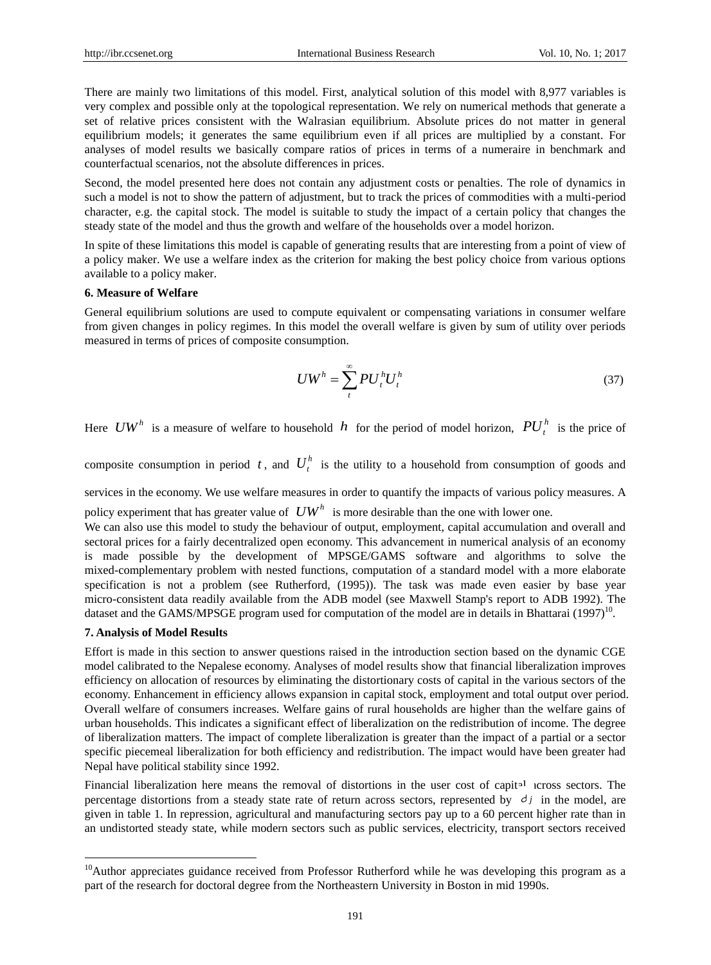There are mainly two limitations of this model. First, analytical solution of this model with 8,977 variables is very complex and possible only at the topological representation. We rely on numerical methods that generate a set of relative prices consistent with the Walrasian equilibrium. Absolute prices do not matter in general equilibrium models; it generates the same equilibrium even if all prices are multiplied by a constant. For analyses of model results we basically compare ratios of prices in terms of a numeraire in benchmark and counterfactual scenarios, not the absolute differences in prices.

Second, the model presented here does not contain any adjustment costs or penalties. The role of dynamics in such a model is not to show the pattern of adjustment, but to track the prices of commodities with a multi-period character, e.g. the capital stock. The model is suitable to study the impact of a certain policy that changes the steady state of the model and thus the growth and welfare of the households over a model horizon.

In spite of these limitations this model is capable of generating results that are interesting from a point of view of a policy maker. We use a welfare index as the criterion for making the best policy choice from various options available to a policy maker.

#### **6. Measure of Welfare**

General equilibrium solutions are used to compute equivalent or compensating variations in consumer welfare from given changes in policy regimes. In this model the overall welfare is given by sum of utility over periods measured in terms of prices of composite consumption.

$$
UW^h = \sum_{t}^{\infty} PU_t^h U_t^h \tag{37}
$$

Here  $UW^h$  is a measure of welfare to household h for the period of model horizon,  $PU_t^h$  is the price of

composite consumption in period  $t$ , and  $U_t^h$  is the utility to a household from consumption of goods and

services in the economy. We use welfare measures in order to quantify the impacts of various policy measures. A

policy experiment that has greater value of  $UW^h$  is more desirable than the one with lower one.

We can also use this model to study the behaviour of output, employment, capital accumulation and overall and sectoral prices for a fairly decentralized open economy. This advancement in numerical analysis of an economy is made possible by the development of MPSGE/GAMS software and algorithms to solve the mixed-complementary problem with nested functions, computation of a standard model with a more elaborate specification is not a problem (see Rutherford, (1995)). The task was made even easier by base year micro-consistent data readily available from the ADB model (see Maxwell Stamp's report to ADB 1992). The dataset and the GAMS/MPSGE program used for computation of the model are in details in Bhattarai (1997)<sup>10</sup>.

#### **7. Analysis of Model Results**

-

Effort is made in this section to answer questions raised in the introduction section based on the dynamic CGE model calibrated to the Nepalese economy. Analyses of model results show that financial liberalization improves efficiency on allocation of resources by eliminating the distortionary costs of capital in the various sectors of the economy. Enhancement in efficiency allows expansion in capital stock, employment and total output over period. Overall welfare of consumers increases. Welfare gains of rural households are higher than the welfare gains of urban households. This indicates a significant effect of liberalization on the redistribution of income. The degree of liberalization matters. The impact of complete liberalization is greater than the impact of a partial or a sector specific piecemeal liberalization for both efficiency and redistribution. The impact would have been greater had Nepal have political stability since 1992.

Financial liberalization here means the removal of distortions in the user cost of capit<sup>1</sup> across sectors. The percentage distortions from a steady state rate of return across sectors, represented by  $dj$  in the model, are given in table 1. In repression, agricultural and manufacturing sectors pay up to a 60 percent higher rate than in an undistorted steady state, while modern sectors such as public services, electricity, transport sectors received

<sup>&</sup>lt;sup>10</sup>Author appreciates guidance received from Professor Rutherford while he was developing this program as a part of the research for doctoral degree from the Northeastern University in Boston in mid 1990s.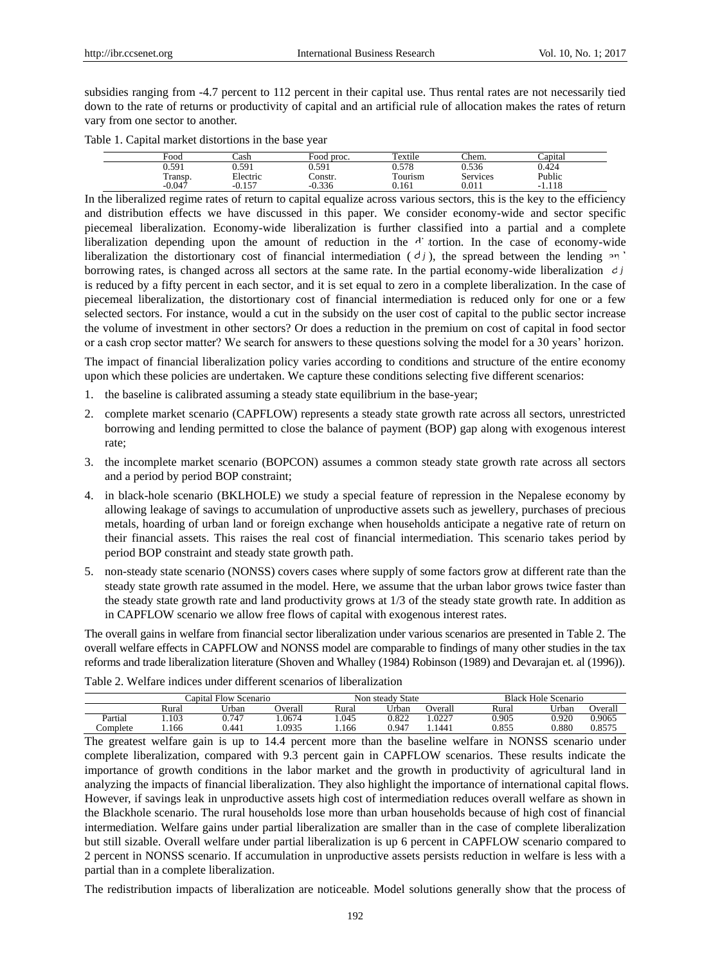subsidies ranging from -4.7 percent to 112 percent in their capital use. Thus rental rates are not necessarily tied down to the rate of returns or productivity of capital and an artificial rule of allocation makes the rates of return vary from one sector to another.

Table 1. Capital market distortions in the base year

| Food     | ∠ash          | Food proc. | Textile     | Chem.    | Capıtal       |  |
|----------|---------------|------------|-------------|----------|---------------|--|
| 0.591    | 0.591         | 0.591      | 0.578       | 0.536    | 0.424         |  |
| Transp.  | Electric      | Constr.    | m<br>ourism | Services | Public        |  |
| $-0.047$ | 157<br>$-0.1$ | $-0.336$   | 0.161       | 0.011    | 1.118<br>$-1$ |  |

In the liberalized regime rates of return to capital equalize across various sectors, this is the key to the efficiency and distribution effects we have discussed in this paper. We consider economy-wide and sector specific piecemeal liberalization. Economy-wide liberalization is further classified into a partial and a complete liberalization depending upon the amount of reduction in the distortion. In the case of economy-wide liberalization the distortionary cost of financial intermediation  $(dj)$ , the spread between the lending and borrowing rates, is changed across all sectors at the same rate. In the partial economy-wide liberalization  $c_j$ is reduced by a fifty percent in each sector, and it is set equal to zero in a complete liberalization. In the case of piecemeal liberalization, the distortionary cost of financial intermediation is reduced only for one or a few selected sectors. For instance, would a cut in the subsidy on the user cost of capital to the public sector increase the volume of investment in other sectors? Or does a reduction in the premium on cost of capital in food sector or a cash crop sector matter? We search for answers to these questions solving the model for a 30 years' horizon.

The impact of financial liberalization policy varies according to conditions and structure of the entire economy upon which these policies are undertaken. We capture these conditions selecting five different scenarios:

- 1. the baseline is calibrated assuming a steady state equilibrium in the base-year;
- 2. complete market scenario (CAPFLOW) represents a steady state growth rate across all sectors, unrestricted borrowing and lending permitted to close the balance of payment (BOP) gap along with exogenous interest rate;
- 3. the incomplete market scenario (BOPCON) assumes a common steady state growth rate across all sectors and a period by period BOP constraint;
- 4. in black-hole scenario (BKLHOLE) we study a special feature of repression in the Nepalese economy by allowing leakage of savings to accumulation of unproductive assets such as jewellery, purchases of precious metals, hoarding of urban land or foreign exchange when households anticipate a negative rate of return on their financial assets. This raises the real cost of financial intermediation. This scenario takes period by period BOP constraint and steady state growth path.
- 5. non-steady state scenario (NONSS) covers cases where supply of some factors grow at different rate than the steady state growth rate assumed in the model. Here, we assume that the urban labor grows twice faster than the steady state growth rate and land productivity grows at 1/3 of the steady state growth rate. In addition as in CAPFLOW scenario we allow free flows of capital with exogenous interest rates.

The overall gains in welfare from financial sector liberalization under various scenarios are presented in Table 2. The overall welfare effects in CAPFLOW and NONSS model are comparable to findings of many other studies in the tax reforms and trade liberalization literature (Shoven and Whalley (1984) Robinson (1989) and Devarajan et. al (1996)).

|          | Capital Flow Scenario |       | Non steady State |       |               | Black Hole Scenario |       |               |          |
|----------|-----------------------|-------|------------------|-------|---------------|---------------------|-------|---------------|----------|
|          | Rurai                 | Jrban | )verall          | Rural | <b>J</b> rban | <b>T</b>            | Rural | <b>U</b> rban | ')veralı |
| Partial  | .103                  | 0.747 | .0674            | .045  | 0.822         | .0227               | 0.905 | 0.920         | 0.9065   |
| complete | .166                  | 0.441 | .0935            | .166  | 0.947         | .1441               | 0.855 | 0.880         | 0.8575   |

Table 2. Welfare indices under different scenarios of liberalization

The greatest welfare gain is up to 14.4 percent more than the baseline welfare in NONSS scenario under complete liberalization, compared with 9.3 percent gain in CAPFLOW scenarios. These results indicate the importance of growth conditions in the labor market and the growth in productivity of agricultural land in analyzing the impacts of financial liberalization. They also highlight the importance of international capital flows. However, if savings leak in unproductive assets high cost of intermediation reduces overall welfare as shown in the Blackhole scenario. The rural households lose more than urban households because of high cost of financial intermediation. Welfare gains under partial liberalization are smaller than in the case of complete liberalization but still sizable. Overall welfare under partial liberalization is up 6 percent in CAPFLOW scenario compared to 2 percent in NONSS scenario. If accumulation in unproductive assets persists reduction in welfare is less with a partial than in a complete liberalization.

The redistribution impacts of liberalization are noticeable. Model solutions generally show that the process of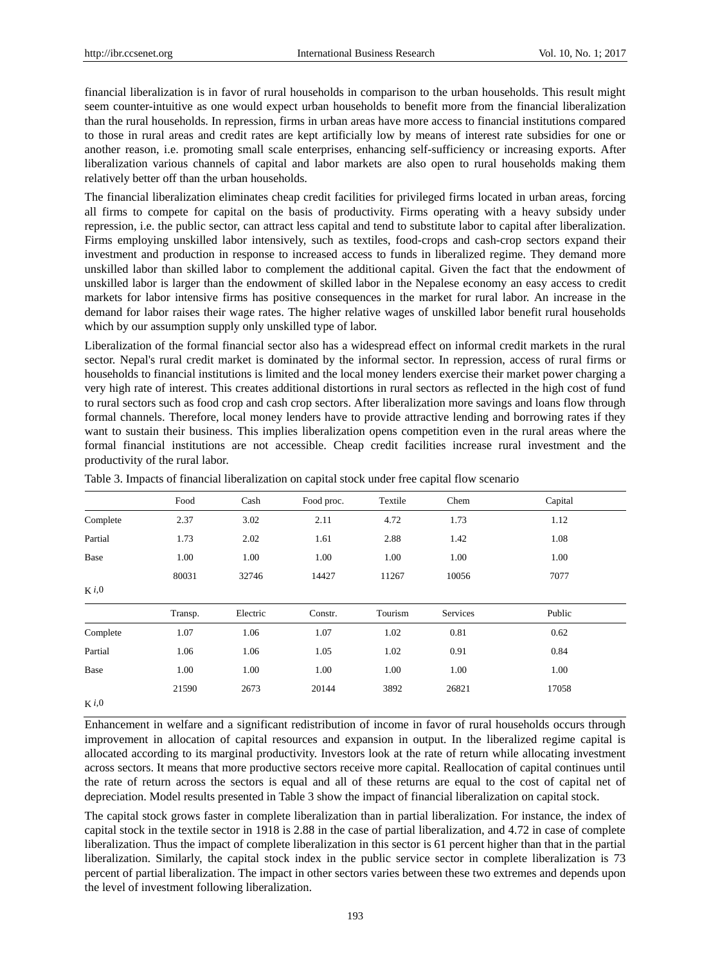financial liberalization is in favor of rural households in comparison to the urban households. This result might seem counter-intuitive as one would expect urban households to benefit more from the financial liberalization than the rural households. In repression, firms in urban areas have more access to financial institutions compared to those in rural areas and credit rates are kept artificially low by means of interest rate subsidies for one or another reason, i.e. promoting small scale enterprises, enhancing self-sufficiency or increasing exports. After liberalization various channels of capital and labor markets are also open to rural households making them relatively better off than the urban households.

The financial liberalization eliminates cheap credit facilities for privileged firms located in urban areas, forcing all firms to compete for capital on the basis of productivity. Firms operating with a heavy subsidy under repression, i.e. the public sector, can attract less capital and tend to substitute labor to capital after liberalization. Firms employing unskilled labor intensively, such as textiles, food-crops and cash-crop sectors expand their investment and production in response to increased access to funds in liberalized regime. They demand more unskilled labor than skilled labor to complement the additional capital. Given the fact that the endowment of unskilled labor is larger than the endowment of skilled labor in the Nepalese economy an easy access to credit markets for labor intensive firms has positive consequences in the market for rural labor. An increase in the demand for labor raises their wage rates. The higher relative wages of unskilled labor benefit rural households which by our assumption supply only unskilled type of labor.

Liberalization of the formal financial sector also has a widespread effect on informal credit markets in the rural sector. Nepal's rural credit market is dominated by the informal sector. In repression, access of rural firms or households to financial institutions is limited and the local money lenders exercise their market power charging a very high rate of interest. This creates additional distortions in rural sectors as reflected in the high cost of fund to rural sectors such as food crop and cash crop sectors. After liberalization more savings and loans flow through formal channels. Therefore, local money lenders have to provide attractive lending and borrowing rates if they want to sustain their business. This implies liberalization opens competition even in the rural areas where the formal financial institutions are not accessible. Cheap credit facilities increase rural investment and the productivity of the rural labor.

|          | Food    | Cash     | Food proc. | Textile | Chem     | Capital |
|----------|---------|----------|------------|---------|----------|---------|
| Complete | 2.37    | 3.02     | 2.11       | 4.72    | 1.73     | 1.12    |
| Partial  | 1.73    | 2.02     | 1.61       | 2.88    | 1.42     | 1.08    |
| Base     | 1.00    | 1.00     | 1.00       | 1.00    | 1.00     | 1.00    |
|          | 80031   | 32746    | 14427      | 11267   | 10056    | 7077    |
| K i, 0   |         |          |            |         |          |         |
|          | Transp. | Electric | Constr.    | Tourism | Services | Public  |
| Complete | 1.07    | 1.06     | 1.07       | 1.02    | 0.81     | 0.62    |
| Partial  | 1.06    | 1.06     | 1.05       | 1.02    | 0.91     | 0.84    |
| Base     | 1.00    | 1.00     | 1.00       | 1.00    | 1.00     | 1.00    |
|          | 21590   | 2673     | 20144      | 3892    | 26821    | 17058   |
| K i, 0   |         |          |            |         |          |         |

Enhancement in welfare and a significant redistribution of income in favor of rural households occurs through improvement in allocation of capital resources and expansion in output. In the liberalized regime capital is allocated according to its marginal productivity. Investors look at the rate of return while allocating investment across sectors. It means that more productive sectors receive more capital. Reallocation of capital continues until the rate of return across the sectors is equal and all of these returns are equal to the cost of capital net of depreciation. Model results presented in Table 3 show the impact of financial liberalization on capital stock.

The capital stock grows faster in complete liberalization than in partial liberalization. For instance, the index of capital stock in the textile sector in 1918 is 2.88 in the case of partial liberalization, and 4.72 in case of complete liberalization. Thus the impact of complete liberalization in this sector is 61 percent higher than that in the partial liberalization. Similarly, the capital stock index in the public service sector in complete liberalization is 73 percent of partial liberalization. The impact in other sectors varies between these two extremes and depends upon the level of investment following liberalization.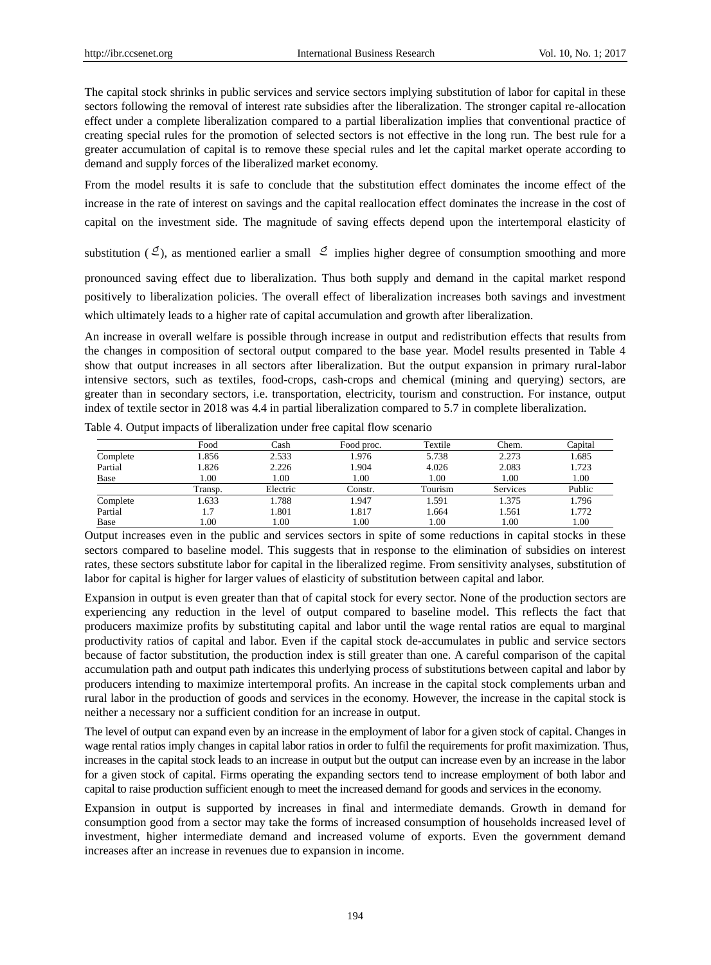The capital stock shrinks in public services and service sectors implying substitution of labor for capital in these sectors following the removal of interest rate subsidies after the liberalization. The stronger capital re-allocation effect under a complete liberalization compared to a partial liberalization implies that conventional practice of creating special rules for the promotion of selected sectors is not effective in the long run. The best rule for a greater accumulation of capital is to remove these special rules and let the capital market operate according to demand and supply forces of the liberalized market economy.

From the model results it is safe to conclude that the substitution effect dominates the income effect of the increase in the rate of interest on savings and the capital reallocation effect dominates the increase in the cost of capital on the investment side. The magnitude of saving effects depend upon the intertemporal elasticity of

substitution ( $\mathcal{Q}$ ), as mentioned earlier a small  $\mathcal{Q}$  implies higher degree of consumption smoothing and more

pronounced saving effect due to liberalization. Thus both supply and demand in the capital market respond positively to liberalization policies. The overall effect of liberalization increases both savings and investment which ultimately leads to a higher rate of capital accumulation and growth after liberalization.

An increase in overall welfare is possible through increase in output and redistribution effects that results from the changes in composition of sectoral output compared to the base year. Model results presented in Table 4 show that output increases in all sectors after liberalization. But the output expansion in primary rural-labor intensive sectors, such as textiles, food-crops, cash-crops and chemical (mining and querying) sectors, are greater than in secondary sectors, i.e. transportation, electricity, tourism and construction. For instance, output index of textile sector in 2018 was 4.4 in partial liberalization compared to 5.7 in complete liberalization.

|          | Food    | Cash     | Food proc. | Textile | Chem.    | Capital |
|----------|---------|----------|------------|---------|----------|---------|
| Complete | 1.856   | 2.533    | 1.976      | 5.738   | 2.273    | 1.685   |
| Partial  | 1.826   | 2.226    | 1.904      | 4.026   | 2.083    | 1.723   |
| Base     | 00.1    | 1.00     | 00.1       | 1.00    | 1.00     | 1.00    |
|          | Transp. | Electric | Constr.    | Tourism | Services | Public  |
| Complete | 1.633   | 1.788    | 1.947      | 1.591   | 1.375    | 1.796   |
| Partial  | 1.7     | 1.801    | 1.817      | 1.664   | 1.561    | 1.772   |
| Base     | 00.1    | 0.00     | 00.1       | .00.    | 1.00     | 1.00    |

Table 4. Output impacts of liberalization under free capital flow scenario

Output increases even in the public and services sectors in spite of some reductions in capital stocks in these sectors compared to baseline model. This suggests that in response to the elimination of subsidies on interest rates, these sectors substitute labor for capital in the liberalized regime. From sensitivity analyses, substitution of labor for capital is higher for larger values of elasticity of substitution between capital and labor.

Expansion in output is even greater than that of capital stock for every sector. None of the production sectors are experiencing any reduction in the level of output compared to baseline model. This reflects the fact that producers maximize profits by substituting capital and labor until the wage rental ratios are equal to marginal productivity ratios of capital and labor. Even if the capital stock de-accumulates in public and service sectors because of factor substitution, the production index is still greater than one. A careful comparison of the capital accumulation path and output path indicates this underlying process of substitutions between capital and labor by producers intending to maximize intertemporal profits. An increase in the capital stock complements urban and rural labor in the production of goods and services in the economy. However, the increase in the capital stock is neither a necessary nor a sufficient condition for an increase in output.

The level of output can expand even by an increase in the employment of labor for a given stock of capital. Changes in wage rental ratios imply changes in capital labor ratios in order to fulfil the requirements for profit maximization. Thus, increases in the capital stock leads to an increase in output but the output can increase even by an increase in the labor for a given stock of capital. Firms operating the expanding sectors tend to increase employment of both labor and capital to raise production sufficient enough to meet the increased demand for goods and services in the economy.

Expansion in output is supported by increases in final and intermediate demands. Growth in demand for consumption good from a sector may take the forms of increased consumption of households increased level of investment, higher intermediate demand and increased volume of exports. Even the government demand increases after an increase in revenues due to expansion in income.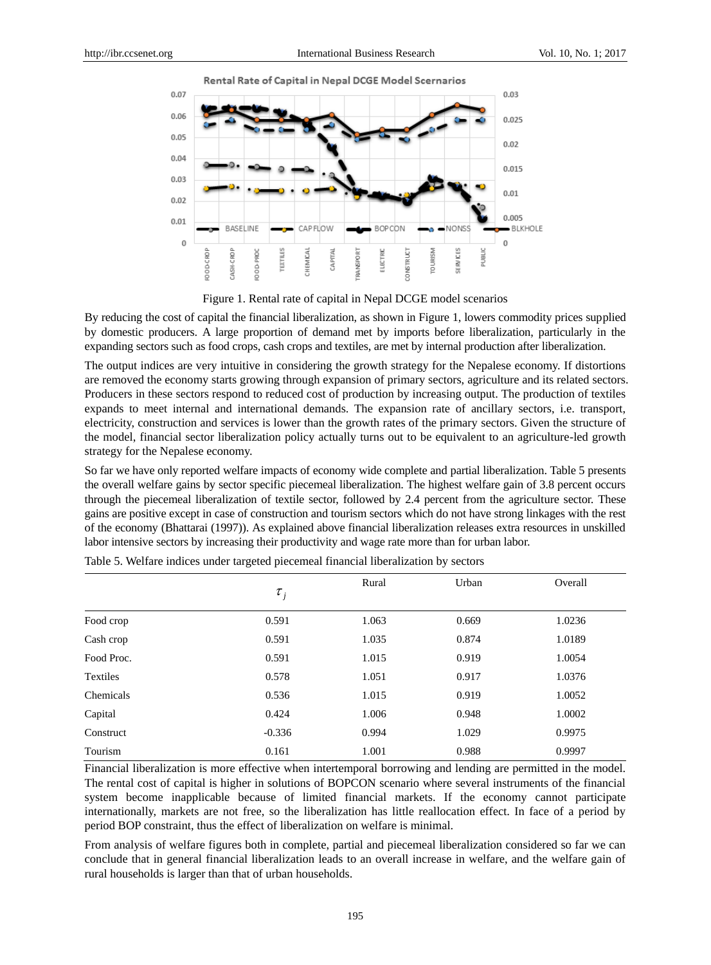

Figure 1. Rental rate of capital in Nepal DCGE model scenarios

By reducing the cost of capital the financial liberalization, as shown in Figure 1, lowers commodity prices supplied by domestic producers. A large proportion of demand met by imports before liberalization, particularly in the expanding sectors such as food crops, cash crops and textiles, are met by internal production after liberalization.

The output indices are very intuitive in considering the growth strategy for the Nepalese economy. If distortions are removed the economy starts growing through expansion of primary sectors, agriculture and its related sectors. Producers in these sectors respond to reduced cost of production by increasing output. The production of textiles expands to meet internal and international demands. The expansion rate of ancillary sectors, i.e. transport, electricity, construction and services is lower than the growth rates of the primary sectors. Given the structure of the model, financial sector liberalization policy actually turns out to be equivalent to an agriculture-led growth strategy for the Nepalese economy.

So far we have only reported welfare impacts of economy wide complete and partial liberalization. Table 5 presents the overall welfare gains by sector specific piecemeal liberalization. The highest welfare gain of 3.8 percent occurs through the piecemeal liberalization of textile sector, followed by 2.4 percent from the agriculture sector. These gains are positive except in case of construction and tourism sectors which do not have strong linkages with the rest of the economy (Bhattarai (1997)). As explained above financial liberalization releases extra resources in unskilled labor intensive sectors by increasing their productivity and wage rate more than for urban labor.

|                 | $\tau_{j}$ | Rural | Urban | Overall |
|-----------------|------------|-------|-------|---------|
|                 |            |       |       |         |
| Food crop       | 0.591      | 1.063 | 0.669 | 1.0236  |
| Cash crop       | 0.591      | 1.035 | 0.874 | 1.0189  |
| Food Proc.      | 0.591      | 1.015 | 0.919 | 1.0054  |
| <b>Textiles</b> | 0.578      | 1.051 | 0.917 | 1.0376  |
| Chemicals       | 0.536      | 1.015 | 0.919 | 1.0052  |
| Capital         | 0.424      | 1.006 | 0.948 | 1.0002  |
| Construct       | $-0.336$   | 0.994 | 1.029 | 0.9975  |
| Tourism         | 0.161      | 1.001 | 0.988 | 0.9997  |

Table 5. Welfare indices under targeted piecemeal financial liberalization by sectors

Financial liberalization is more effective when intertemporal borrowing and lending are permitted in the model. The rental cost of capital is higher in solutions of BOPCON scenario where several instruments of the financial system become inapplicable because of limited financial markets. If the economy cannot participate internationally, markets are not free, so the liberalization has little reallocation effect. In face of a period by period BOP constraint, thus the effect of liberalization on welfare is minimal.

From analysis of welfare figures both in complete, partial and piecemeal liberalization considered so far we can conclude that in general financial liberalization leads to an overall increase in welfare, and the welfare gain of rural households is larger than that of urban households.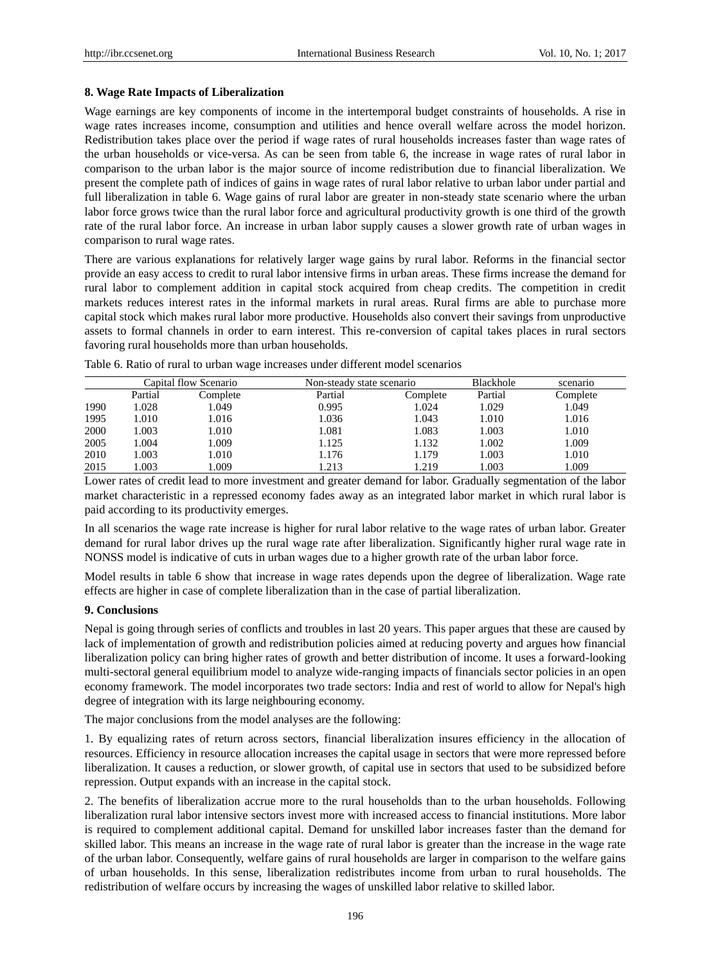#### **8. Wage Rate Impacts of Liberalization**

Wage earnings are key components of income in the intertemporal budget constraints of households. A rise in wage rates increases income, consumption and utilities and hence overall welfare across the model horizon. Redistribution takes place over the period if wage rates of rural households increases faster than wage rates of the urban households or vice-versa. As can be seen from table 6, the increase in wage rates of rural labor in comparison to the urban labor is the major source of income redistribution due to financial liberalization. We present the complete path of indices of gains in wage rates of rural labor relative to urban labor under partial and full liberalization in table 6. Wage gains of rural labor are greater in non-steady state scenario where the urban labor force grows twice than the rural labor force and agricultural productivity growth is one third of the growth rate of the rural labor force. An increase in urban labor supply causes a slower growth rate of urban wages in comparison to rural wage rates.

There are various explanations for relatively larger wage gains by rural labor. Reforms in the financial sector provide an easy access to credit to rural labor intensive firms in urban areas. These firms increase the demand for rural labor to complement addition in capital stock acquired from cheap credits. The competition in credit markets reduces interest rates in the informal markets in rural areas. Rural firms are able to purchase more capital stock which makes rural labor more productive. Households also convert their savings from unproductive assets to formal channels in order to earn interest. This re-conversion of capital takes places in rural sectors favoring rural households more than urban households.

|      | Capital flow Scenario |          | Non-steady state scenario |          | Blackhole | scenario |
|------|-----------------------|----------|---------------------------|----------|-----------|----------|
|      | Partial               | Complete | Partial                   | Complete | Partial   | Complete |
| 1990 | 1.028                 | 1.049    | 0.995                     | 1.024    | 1.029     | 1.049    |
| 1995 | 1.010                 | 1.016    | 1.036                     | 1.043    | 1.010     | 1.016    |
| 2000 | 1.003                 | 1.010    | 1.081                     | 1.083    | 1.003     | 1.010    |
| 2005 | 1.004                 | 1.009    | 1.125                     | 1.132    | 1.002     | 1.009    |
| 2010 | 1.003                 | 1.010    | 1.176                     | 1.179    | 1.003     | 1.010    |
| 2015 | 1.003                 | l.009    | 1.213                     | 1.219    | 1.003     | 1.009    |

Table 6. Ratio of rural to urban wage increases under different model scenarios

Lower rates of credit lead to more investment and greater demand for labor. Gradually segmentation of the labor market characteristic in a repressed economy fades away as an integrated labor market in which rural labor is paid according to its productivity emerges.

In all scenarios the wage rate increase is higher for rural labor relative to the wage rates of urban labor. Greater demand for rural labor drives up the rural wage rate after liberalization. Significantly higher rural wage rate in NONSS model is indicative of cuts in urban wages due to a higher growth rate of the urban labor force.

Model results in table 6 show that increase in wage rates depends upon the degree of liberalization. Wage rate effects are higher in case of complete liberalization than in the case of partial liberalization.

#### **9. Conclusions**

Nepal is going through series of conflicts and troubles in last 20 years. This paper argues that these are caused by lack of implementation of growth and redistribution policies aimed at reducing poverty and argues how financial liberalization policy can bring higher rates of growth and better distribution of income. It uses a forward-looking multi-sectoral general equilibrium model to analyze wide-ranging impacts of financials sector policies in an open economy framework. The model incorporates two trade sectors: India and rest of world to allow for Nepal's high degree of integration with its large neighbouring economy.

The major conclusions from the model analyses are the following:

1. By equalizing rates of return across sectors, financial liberalization insures efficiency in the allocation of resources. Efficiency in resource allocation increases the capital usage in sectors that were more repressed before liberalization. It causes a reduction, or slower growth, of capital use in sectors that used to be subsidized before repression. Output expands with an increase in the capital stock.

2. The benefits of liberalization accrue more to the rural households than to the urban households. Following liberalization rural labor intensive sectors invest more with increased access to financial institutions. More labor is required to complement additional capital. Demand for unskilled labor increases faster than the demand for skilled labor. This means an increase in the wage rate of rural labor is greater than the increase in the wage rate of the urban labor. Consequently, welfare gains of rural households are larger in comparison to the welfare gains of urban households. In this sense, liberalization redistributes income from urban to rural households. The redistribution of welfare occurs by increasing the wages of unskilled labor relative to skilled labor.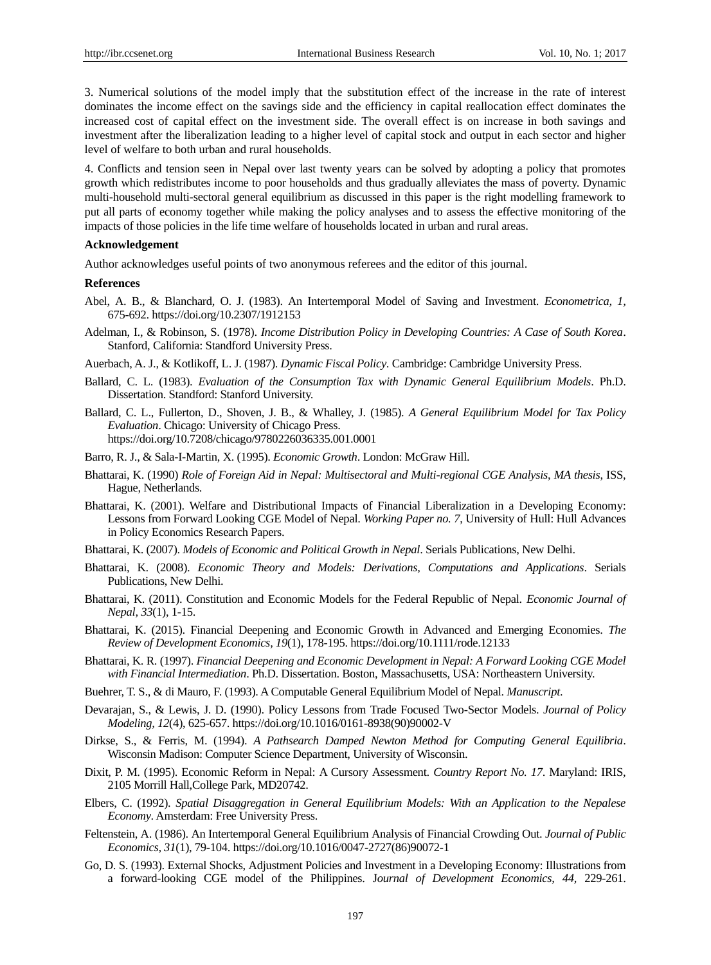3. Numerical solutions of the model imply that the substitution effect of the increase in the rate of interest dominates the income effect on the savings side and the efficiency in capital reallocation effect dominates the increased cost of capital effect on the investment side. The overall effect is on increase in both savings and investment after the liberalization leading to a higher level of capital stock and output in each sector and higher level of welfare to both urban and rural households.

4. Conflicts and tension seen in Nepal over last twenty years can be solved by adopting a policy that promotes growth which redistributes income to poor households and thus gradually alleviates the mass of poverty. Dynamic multi-household multi-sectoral general equilibrium as discussed in this paper is the right modelling framework to put all parts of economy together while making the policy analyses and to assess the effective monitoring of the impacts of those policies in the life time welfare of households located in urban and rural areas.

#### **Acknowledgement**

Author acknowledges useful points of two anonymous referees and the editor of this journal.

#### **References**

- Abel, A. B., & Blanchard, O. J. (1983). An Intertemporal Model of Saving and Investment. *Econometrica, 1,*  675-692[. https://doi.org/10.2307/1912153](https://doi.org/10.2307/1912153)
- Adelman, I., & Robinson, S. (1978). *Income Distribution Policy in Developing Countries: A Case of South Korea*. Stanford, California: Standford University Press.
- Auerbach, A. J., & Kotlikoff, L. J. (1987). *Dynamic Fiscal Policy*. Cambridge: Cambridge University Press.
- Ballard, C. L. (1983). *Evaluation of the Consumption Tax with Dynamic General Equilibrium Models*. Ph.D. Dissertation. Standford: Stanford University.
- Ballard, C. L., Fullerton, D., Shoven, J. B., & Whalley, J. (1985). *A General Equilibrium Model for Tax Policy Evaluation*. Chicago: University of Chicago Press. <https://doi.org/10.7208/chicago/9780226036335.001.0001>
- Barro, R. J., & Sala-I-Martin, X. (1995). *Economic Growth*. London: McGraw Hill.
- Bhattarai, K. (1990) *Role of Foreign Aid in Nepal: Multisectoral and Multi-regional CGE Analysis*, *MA thesis*, ISS, Hague, Netherlands.
- Bhattarai, K. (2001). Welfare and Distributional Impacts of Financial Liberalization in a Developing Economy: Lessons from Forward Looking CGE Model of Nepal. *Working Paper no. 7*, University of Hull: Hull Advances in Policy Economics Research Papers.
- Bhattarai, K. (2007). *Models of Economic and Political Growth in Nepal*. Serials Publications, New Delhi.
- Bhattarai, K. (2008). *Economic Theory and Models: Derivations, Computations and Applications*. Serials Publications, New Delhi.
- Bhattarai, K. (2011). Constitution and Economic Models for the Federal Republic of Nepal. *Economic Journal of Nepal, 33*(1), 1-15.
- Bhattarai, K. (2015). Financial Deepening and Economic Growth in Advanced and Emerging Economies. *The Review of Development Economics, 19*(1), 178-195[. https://doi.org/10.1111/rode.12133](https://doi.org/10.1111/rode.12133)
- Bhattarai, K. R. (1997). *Financial Deepening and Economic Development in Nepal: A Forward Looking CGE Model with Financial Intermediation*. Ph.D. Dissertation. Boston, Massachusetts, USA: Northeastern University.
- Buehrer, T. S., & di Mauro, F. (1993). A Computable General Equilibrium Model of Nepal. *Manuscript*.
- Devarajan, S., & Lewis, J. D. (1990). Policy Lessons from Trade Focused Two-Sector Models. *Journal of Policy Modeling, 12*(4), 625-657[. https://doi.org/10.1016/0161-8938\(90\)90002-V](https://doi.org/10.1016/0161-8938%2890%2990002-V)
- Dirkse, S., & Ferris, M. (1994). *A Pathsearch Damped Newton Method for Computing General Equilibria*. Wisconsin Madison: Computer Science Department, University of Wisconsin.
- Dixit, P. M. (1995). Economic Reform in Nepal: A Cursory Assessment. *Country Report No. 17*. Maryland: IRIS, 2105 Morrill Hall,College Park, MD20742.
- Elbers, C. (1992). *Spatial Disaggregation in General Equilibrium Models: With an Application to the Nepalese Economy*. Amsterdam: Free University Press.
- Feltenstein, A. (1986). An Intertemporal General Equilibrium Analysis of Financial Crowding Out. *Journal of Public Economics, 31*(1), 79-104[. https://doi.org/10.1016/0047-2727\(86\)90072-1](https://doi.org/10.1016/0047-2727%2886%2990072-1)
- Go, D. S. (1993). External Shocks, Adjustment Policies and Investment in a Developing Economy: Illustrations from a forward-looking CGE model of the Philippines. J*ournal of Development Economics, 44,* 229-261.